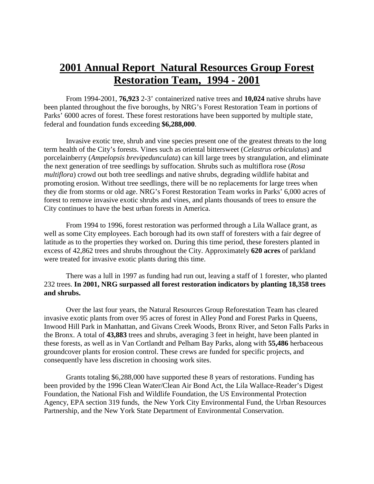## **2001 Annual Report Natural Resources Group Forest Restoration Team, 1994 - 2001**

From 1994-2001, **76,923** 2-3' containerized native trees and **10,024** native shrubs have been planted throughout the five boroughs, by NRG's Forest Restoration Team in portions of Parks' 6000 acres of forest. These forest restorations have been supported by multiple state, federal and foundation funds exceeding **\$6,288,000**.

Invasive exotic tree, shrub and vine species present one of the greatest threats to the long term health of the City's forests. Vines such as oriental bittersweet (*Celastrus orbiculatus*) and porcelainberry (*Ampelopsis brevipedunculata*) can kill large trees by strangulation, and eliminate the next generation of tree seedlings by suffocation. Shrubs such as multiflora rose (*Rosa multiflora*) crowd out both tree seedlings and native shrubs, degrading wildlife habitat and promoting erosion. Without tree seedlings, there will be no replacements for large trees when they die from storms or old age. NRG's Forest Restoration Team works in Parks' 6,000 acres of forest to remove invasive exotic shrubs and vines, and plants thousands of trees to ensure the City continues to have the best urban forests in America.

From 1994 to 1996, forest restoration was performed through a Lila Wallace grant, as well as some City employees. Each borough had its own staff of foresters with a fair degree of latitude as to the properties they worked on. During this time period, these foresters planted in excess of 42,862 trees and shrubs throughout the City. Approximately **620 acres** of parkland were treated for invasive exotic plants during this time.

There was a lull in 1997 as funding had run out, leaving a staff of 1 forester, who planted 232 trees. **In 2001, NRG surpassed all forest restoration indicators by planting 18,358 trees and shrubs.**

Over the last four years, the Natural Resources Group Reforestation Team has cleared invasive exotic plants from over 95 acres of forest in Alley Pond and Forest Parks in Queens, Inwood Hill Park in Manhattan, and Givans Creek Woods, Bronx River, and Seton Falls Parks in the Bronx. A total of **43,883** trees and shrubs, averaging 3 feet in height, have been planted in these forests, as well as in Van Cortlandt and Pelham Bay Parks, along with **55,486** herbaceous groundcover plants for erosion control. These crews are funded for specific projects, and consequently have less discretion in choosing work sites.

Grants totaling \$6,288,000 have supported these 8 years of restorations. Funding has been provided by the 1996 Clean Water/Clean Air Bond Act, the Lila Wallace-Reader's Digest Foundation, the National Fish and Wildlife Foundation, the US Environmental Protection Agency, EPA section 319 funds, the New York City Environmental Fund, the Urban Resources Partnership, and the New York State Department of Environmental Conservation.